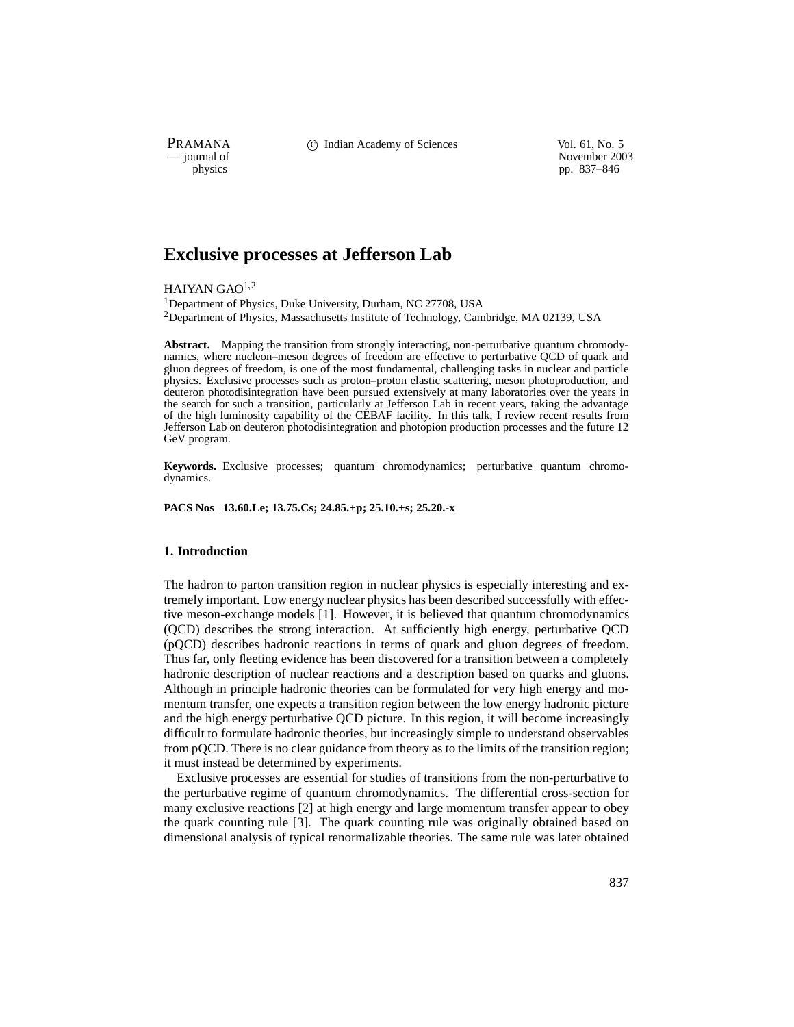PRAMANA <sup>comp</sup> computed contained in the Indian Academy of Sciences vol. 61, No. 5<br>
computed vol. 61, No. 5<br>
November 200

November 2003 physics pp. 837–846

# **Exclusive processes at Jefferson Lab**

HAIYAN GAO $1,2$ 

1Department of Physics, Duke University, Durham, NC 27708, USA 2Department of Physics, Massachusetts Institute of Technology, Cambridge, MA 02139, USA

**Abstract.** Mapping the transition from strongly interacting, non-perturbative quantum chromodynamics, where nucleon–meson degrees of freedom are effective to perturbative QCD of quark and gluon degrees of freedom, is one of the most fundamental, challenging tasks in nuclear and particle physics. Exclusive processes such as proton–proton elastic scattering, meson photoproduction, and deuteron photodisintegration have been pursued extensively at many laboratories over the years in the search for such a transition, particularly at Jefferson Lab in recent years, taking the advantage of the high luminosity capability of the CEBAF facility. In this talk, I review recent results from Jefferson Lab on deuteron photodisintegration and photopion production processes and the future 12 GeV program.

**Keywords.** Exclusive processes; quantum chromodynamics; perturbative quantum chromodynamics.

**PACS Nos 13.60.Le; 13.75.Cs; 24.85.+p; 25.10.+s; 25.20.-x**

# **1. Introduction**

The hadron to parton transition region in nuclear physics is especially interesting and extremely important. Low energy nuclear physics has been described successfully with effective meson-exchange models [1]. However, it is believed that quantum chromodynamics (QCD) describes the strong interaction. At sufficiently high energy, perturbative QCD (pQCD) describes hadronic reactions in terms of quark and gluon degrees of freedom. Thus far, only fleeting evidence has been discovered for a transition between a completely hadronic description of nuclear reactions and a description based on quarks and gluons. Although in principle hadronic theories can be formulated for very high energy and momentum transfer, one expects a transition region between the low energy hadronic picture and the high energy perturbative QCD picture. In this region, it will become increasingly difficult to formulate hadronic theories, but increasingly simple to understand observables from pQCD. There is no clear guidance from theory as to the limits of the transition region; it must instead be determined by experiments.

Exclusive processes are essential for studies of transitions from the non-perturbative to the perturbative regime of quantum chromodynamics. The differential cross-section for many exclusive reactions [2] at high energy and large momentum transfer appear to obey the quark counting rule [3]. The quark counting rule was originally obtained based on dimensional analysis of typical renormalizable theories. The same rule was later obtained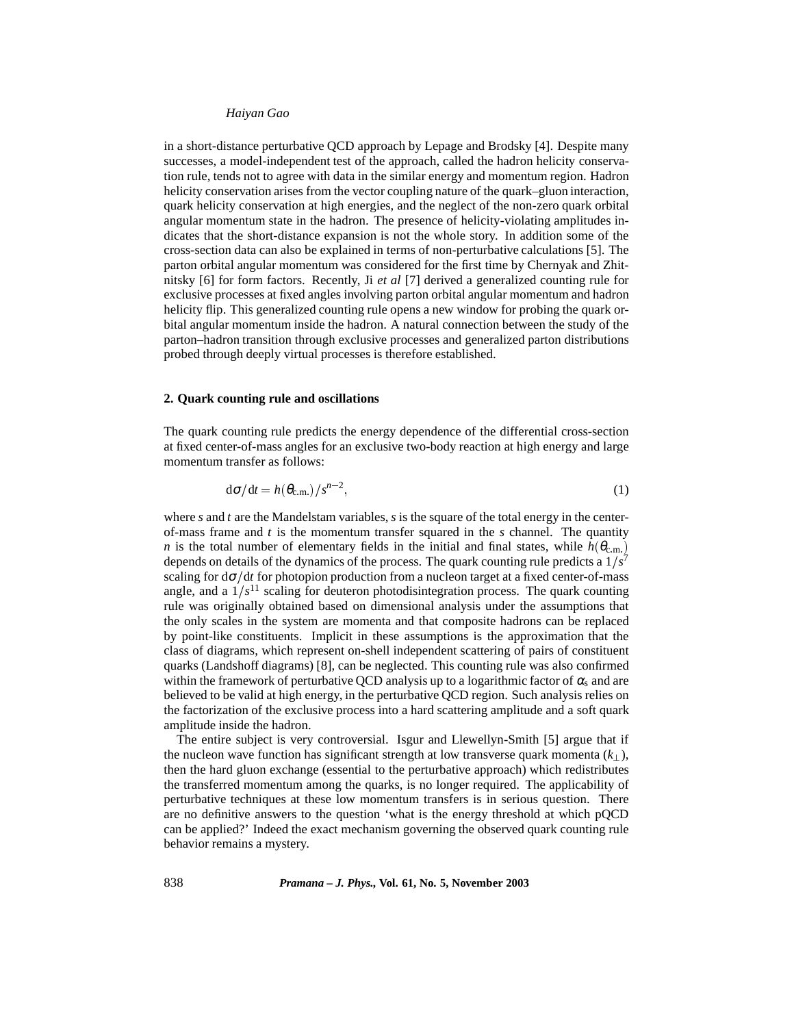in a short-distance perturbative QCD approach by Lepage and Brodsky [4]. Despite many successes, a model-independent test of the approach, called the hadron helicity conservation rule, tends not to agree with data in the similar energy and momentum region. Hadron helicity conservation arises from the vector coupling nature of the quark–gluon interaction, quark helicity conservation at high energies, and the neglect of the non-zero quark orbital angular momentum state in the hadron. The presence of helicity-violating amplitudes indicates that the short-distance expansion is not the whole story. In addition some of the cross-section data can also be explained in terms of non-perturbative calculations [5]. The parton orbital angular momentum was considered for the first time by Chernyak and Zhitnitsky [6] for form factors. Recently, Ji *et al* [7] derived a generalized counting rule for exclusive processes at fixed angles involving parton orbital angular momentum and hadron helicity flip. This generalized counting rule opens a new window for probing the quark orbital angular momentum inside the hadron. A natural connection between the study of the parton–hadron transition through exclusive processes and generalized parton distributions probed through deeply virtual processes is therefore established.

## **2. Quark counting rule and oscillations**

The quark counting rule predicts the energy dependence of the differential cross-section at fixed center-of-mass angles for an exclusive two-body reaction at high energy and large momentum transfer as follows:

$$
d\sigma/dt = h(\theta_{\rm c.m.})/s^{n-2},\tag{1}
$$

where *s* and *t* are the Mandelstam variables, *s* is the square of the total energy in the centerof-mass frame and *t* is the momentum transfer squared in the *s* channel. The quantity *n* is the total number of elementary fields in the initial and final states, while  $h(\theta_{\text{c.m.}})$ depends on details of the dynamics of the process. The quark counting rule predicts a  $1/s<sup>7</sup>$ scaling for  $d\sigma/dt$  for photopion production from a nucleon target at a fixed center-of-mass angle, and a  $1/s<sup>11</sup>$  scaling for deuteron photodisintegration process. The quark counting rule was originally obtained based on dimensional analysis under the assumptions that the only scales in the system are momenta and that composite hadrons can be replaced by point-like constituents. Implicit in these assumptions is the approximation that the class of diagrams, which represent on-shell independent scattering of pairs of constituent quarks (Landshoff diagrams) [8], can be neglected. This counting rule was also confirmed within the framework of perturbative QCD analysis up to a logarithmic factor of  $\alpha_s$  and are believed to be valid at high energy, in the perturbative QCD region. Such analysis relies on the factorization of the exclusive process into a hard scattering amplitude and a soft quark amplitude inside the hadron.

The entire subject is very controversial. Isgur and Llewellyn-Smith [5] argue that if the nucleon wave function has significant strength at low transverse quark momenta  $(k_{\perp})$ , then the hard gluon exchange (essential to the perturbative approach) which redistributes the transferred momentum among the quarks, is no longer required. The applicability of perturbative techniques at these low momentum transfers is in serious question. There are no definitive answers to the question 'what is the energy threshold at which pQCD can be applied?' Indeed the exact mechanism governing the observed quark counting rule behavior remains a mystery.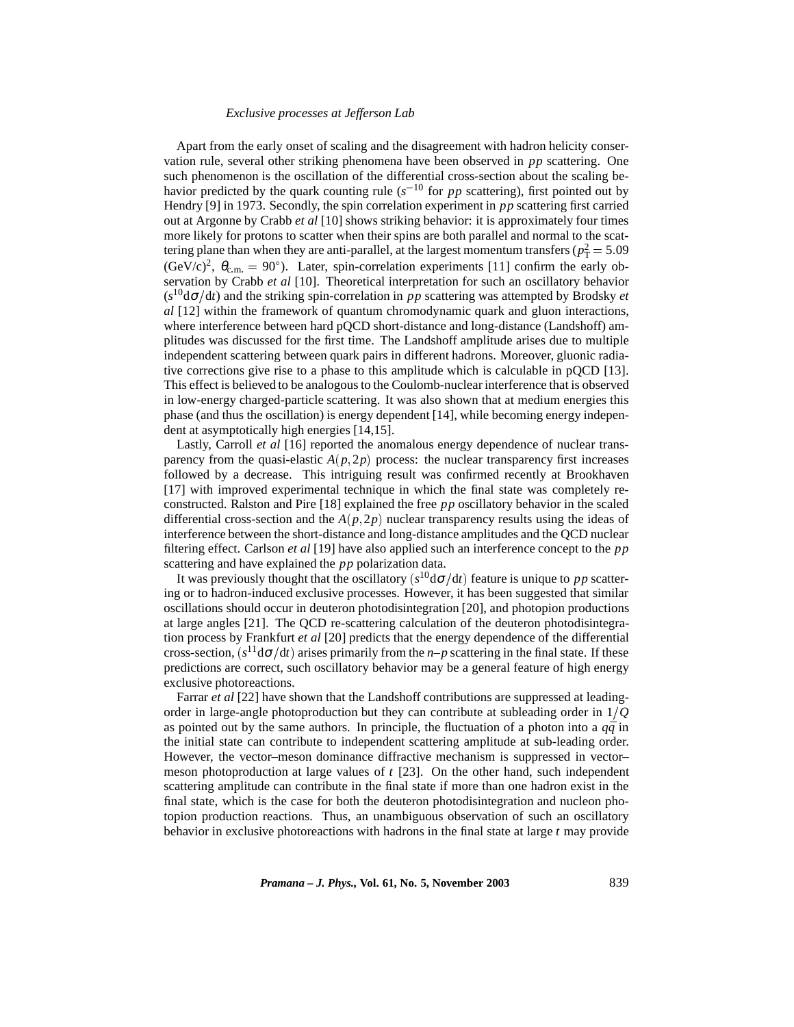## *Exclusive processes at Jefferson Lab*

Apart from the early onset of scaling and the disagreement with hadron helicity conservation rule, several other striking phenomena have been observed in *pp* scattering. One such phenomenon is the oscillation of the differential cross-section about the scaling behavior predicted by the quark counting rule ( $s^{-10}$  for *pp* scattering), first pointed out by Hendry [9] in 1973. Secondly, the spin correlation experiment in *pp* scattering first carried out at Argonne by Crabb *et al* [10] shows striking behavior: it is approximately four times more likely for protons to scatter when their spins are both parallel and normal to the scattering plane than when they are anti-parallel, at the largest momentum transfers ( $p_T^2 = 5.09$  $(\text{GeV}/c)^2$ ,  $\theta_{\text{c.m.}} = 90^{\circ}$ ). Later, spin-correlation experiments [11] confirm the early observation by Crabb *et al* [10]. Theoretical interpretation for such an oscillatory behavior  $(s^{10}d\sigma/dt)$  and the striking spin-correlation in *pp* scattering was attempted by Brodsky *et al* [12] within the framework of quantum chromodynamic quark and gluon interactions, where interference between hard pQCD short-distance and long-distance (Landshoff) amplitudes was discussed for the first time. The Landshoff amplitude arises due to multiple independent scattering between quark pairs in different hadrons. Moreover, gluonic radiative corrections give rise to a phase to this amplitude which is calculable in  $pQCD$  [13]. This effect is believed to be analogous to the Coulomb-nuclear interference that is observed in low-energy charged-particle scattering. It was also shown that at medium energies this phase (and thus the oscillation) is energy dependent [14], while becoming energy independent at asymptotically high energies [14,15].

Lastly, Carroll *et al* [16] reported the anomalous energy dependence of nuclear transparency from the quasi-elastic  $A(p, 2p)$  process: the nuclear transparency first increases followed by a decrease. This intriguing result was confirmed recently at Brookhaven [17] with improved experimental technique in which the final state was completely reconstructed. Ralston and Pire [18] explained the free *pp* oscillatory behavior in the scaled differential cross-section and the  $A(p, 2p)$  nuclear transparency results using the ideas of interference between the short-distance and long-distance amplitudes and the QCD nuclear filtering effect. Carlson *et al* [19] have also applied such an interference concept to the *pp* scattering and have explained the *pp* polarization data.

It was previously thought that the oscillatory  $(s^{10}d\sigma/dt)$  feature is unique to *pp* scattering or to hadron-induced exclusive processes. However, it has been suggested that similar oscillations should occur in deuteron photodisintegration [20], and photopion productions at large angles [21]. The QCD re-scattering calculation of the deuteron photodisintegration process by Frankfurt *et al* [20] predicts that the energy dependence of the differential cross-section,  $(s^{11}d\sigma/dt)$  arises primarily from the *n*–*p* scattering in the final state. If these predictions are correct, such oscillatory behavior may be a general feature of high energy exclusive photoreactions.

Farrar *et al* [22] have shown that the Landshoff contributions are suppressed at leadingorder in large-angle photoproduction but they can contribute at subleading order in 1*Q* as pointed out by the same authors. In principle, the fluctuation of a photon into a  $q\bar{q}$  in the initial state can contribute to independent scattering amplitude at sub-leading order. However, the vector–meson dominance diffractive mechanism is suppressed in vector– meson photoproduction at large values of *t* [23]. On the other hand, such independent scattering amplitude can contribute in the final state if more than one hadron exist in the final state, which is the case for both the deuteron photodisintegration and nucleon photopion production reactions. Thus, an unambiguous observation of such an oscillatory behavior in exclusive photoreactions with hadrons in the final state at large *t* may provide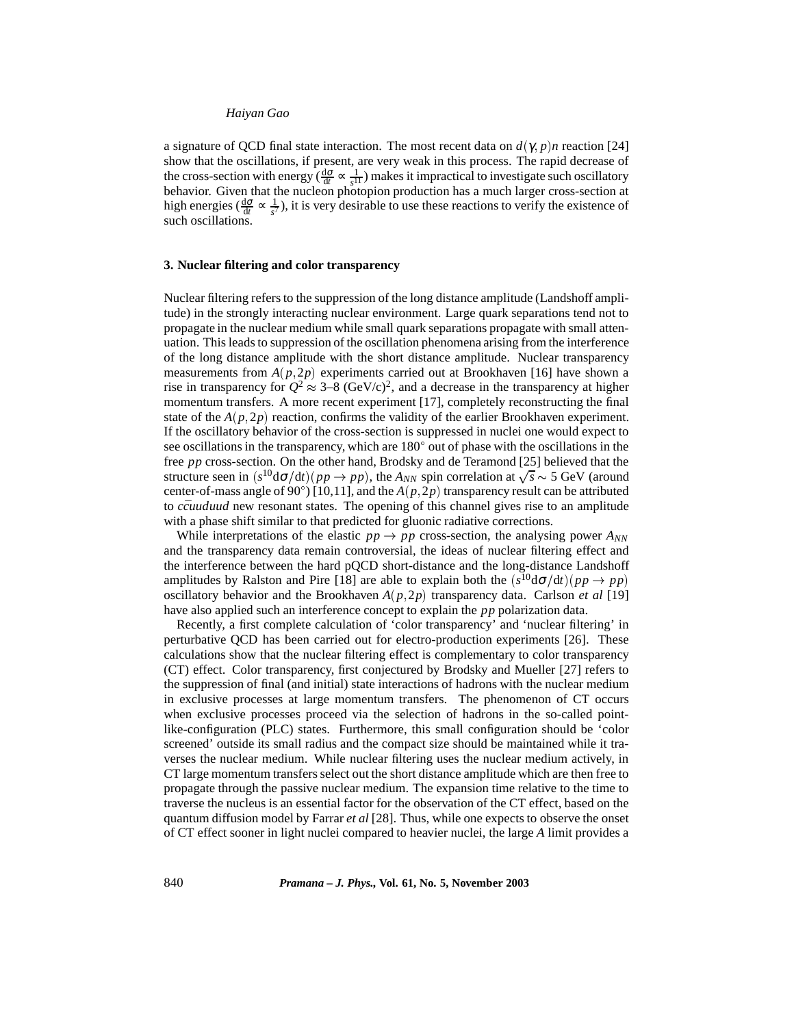a signature of QCD final state interaction. The most recent data on  $d(\gamma, p)n$  reaction [24] show that the oscillations, if present, are very weak in this process. The rapid decrease of the cross-section with energy ( $\frac{d\sigma}{dt} \propto \frac{1}{s^{11}}$ ) makes it impractical to investigate such oscillatory behavior. Given that the nucleon photopion production has a much larger cross-section at high energies ( $\frac{d\sigma}{dt} \propto \frac{1}{s^7}$ ), it is very desirable to use these reactions to verify the existence of such oscillations.

## **3. Nuclear filtering and color transparency**

Nuclear filtering refers to the suppression of the long distance amplitude (Landshoff amplitude) in the strongly interacting nuclear environment. Large quark separations tend not to propagate in the nuclear medium while small quark separations propagate with small attenuation. This leads to suppression of the oscillation phenomena arising from the interference of the long distance amplitude with the short distance amplitude. Nuclear transparency measurements from  $A(p, 2p)$  experiments carried out at Brookhaven [16] have shown a rise in transparency for  $Q^2 \approx 3-8$  (GeV/c)<sup>2</sup>, and a decrease in the transparency at higher momentum transfers. A more recent experiment [17], completely reconstructing the final state of the  $A(p, 2p)$  reaction, confirms the validity of the earlier Brookhaven experiment. If the oscillatory behavior of the cross-section is suppressed in nuclei one would expect to see oscillations in the transparency, which are  $180^{\circ}$  out of phase with the oscillations in the free *pp* cross-section. On the other hand, Brodsky and de Teramond [25] believed that the structure seen in  $(s^{10} d\sigma/dt) (pp \to pp)$ , the  $A_{NN}$  spin correlation at  $\sqrt{s} \sim 5$  GeV (around center-of-mass angle of 90°) [10,11], and the  $A(p, 2p)$  transparency result can be attributed to *ccuuduud* new resonant states. The opening of this channel gives rise to an amplitude with a phase shift similar to that predicted for gluonic radiative corrections.

While interpretations of the elastic  $pp \rightarrow pp$  cross-section, the analysing power  $A_{NN}$ and the transparency data remain controversial, the ideas of nuclear filtering effect and the interference between the hard pQCD short-distance and the long-distance Landshoff amplitudes by Ralston and Pire [18] are able to explain both the  $(s^{10} d\sigma/dt) (pp \rightarrow pp)$ oscillatory behavior and the Brookhaven  $A(p, 2p)$  transparency data. Carlson *et al* [19] have also applied such an interference concept to explain the *pp* polarization data.

Recently, a first complete calculation of 'color transparency' and 'nuclear filtering' in perturbative QCD has been carried out for electro-production experiments [26]. These calculations show that the nuclear filtering effect is complementary to color transparency (CT) effect. Color transparency, first conjectured by Brodsky and Mueller [27] refers to the suppression of final (and initial) state interactions of hadrons with the nuclear medium in exclusive processes at large momentum transfers. The phenomenon of CT occurs when exclusive processes proceed via the selection of hadrons in the so-called pointlike-configuration (PLC) states. Furthermore, this small configuration should be 'color screened' outside its small radius and the compact size should be maintained while it traverses the nuclear medium. While nuclear filtering uses the nuclear medium actively, in CT large momentum transfers select out the short distance amplitude which are then free to propagate through the passive nuclear medium. The expansion time relative to the time to traverse the nucleus is an essential factor for the observation of the CT effect, based on the quantum diffusion model by Farrar *et al* [28]. Thus, while one expects to observe the onset of CT effect sooner in light nuclei compared to heavier nuclei, the large *A* limit provides a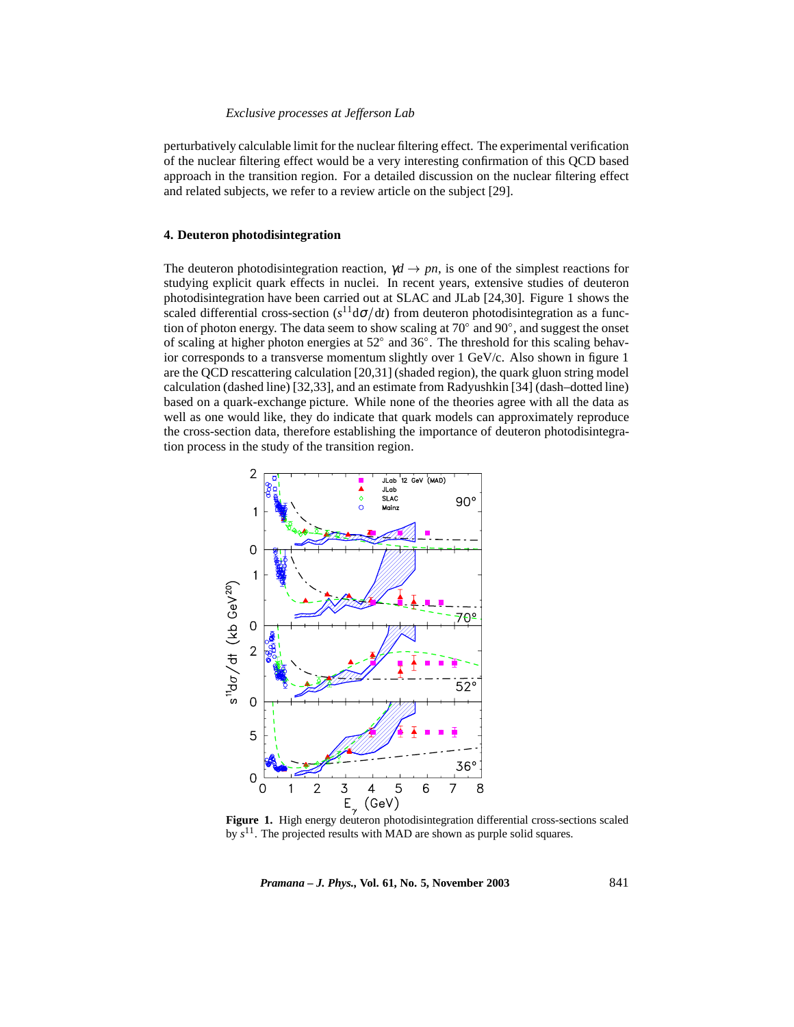## *Exclusive processes at Jefferson Lab*

perturbatively calculable limit for the nuclear filtering effect. The experimental verification of the nuclear filtering effect would be a very interesting confirmation of this QCD based approach in the transition region. For a detailed discussion on the nuclear filtering effect and related subjects, we refer to a review article on the subject [29].

## **4. Deuteron photodisintegration**

The deuteron photodisintegration reaction,  $\gamma d \to pn$ , is one of the simplest reactions for studying explicit quark effects in nuclei. In recent years, extensive studies of deuteron photodisintegration have been carried out at SLAC and JLab [24,30]. Figure 1 shows the scaled differential cross-section  $(s^{11}d\sigma/dt)$  from deuteron photodisintegration as a function of photon energy. The data seem to show scaling at  $70^{\circ}$  and  $90^{\circ}$ , and suggest the onset of scaling at higher photon energies at  $52^{\circ}$  and  $36^{\circ}$ . The threshold for this scaling behavior corresponds to a transverse momentum slightly over 1 GeV/c. Also shown in figure 1 are the QCD rescattering calculation [20,31] (shaded region), the quark gluon string model calculation (dashed line) [32,33], and an estimate from Radyushkin [34] (dash–dotted line) based on a quark-exchange picture. While none of the theories agree with all the data as well as one would like, they do indicate that quark models can approximately reproduce the cross-section data, therefore establishing the importance of deuteron photodisintegration process in the study of the transition region.



by *s*11. The projected results with MAD are shown as purple solid squares.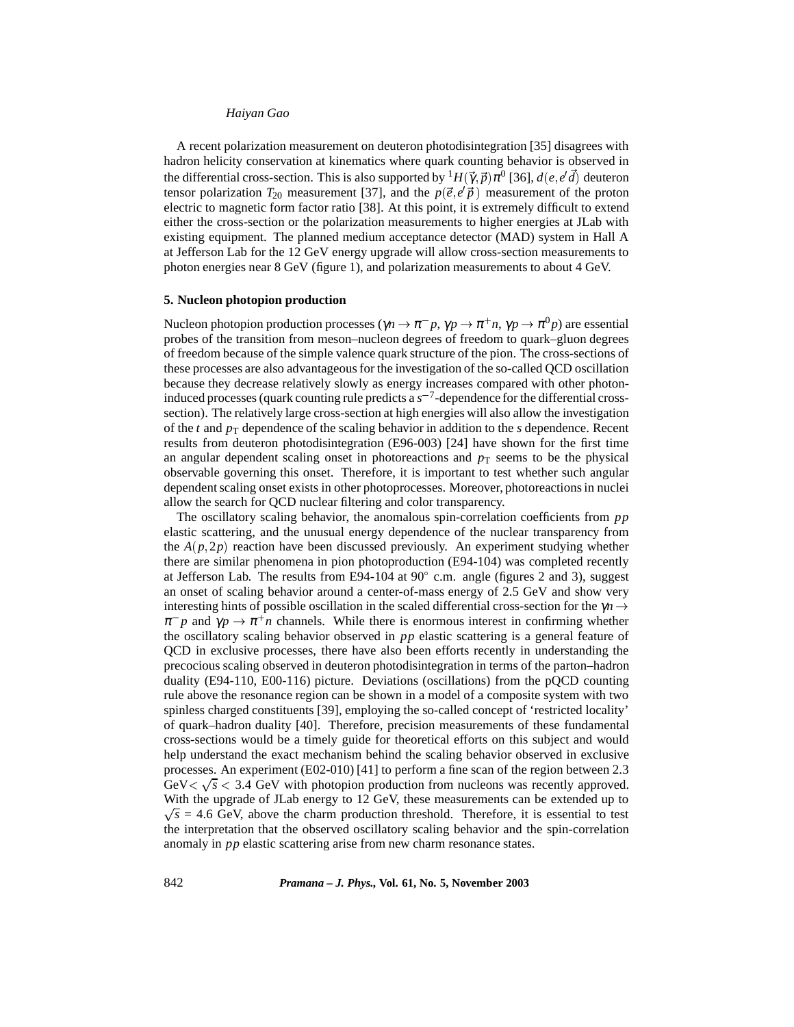A recent polarization measurement on deuteron photodisintegration [35] disagrees with hadron helicity conservation at kinematics where quark counting behavior is observed in the differential cross-section. This is also supported by  ${}^1H(\vec{\gamma}, \vec{p})\pi^0$  [36],  $d(e, e'\vec{d})$  deuteron tensor polarization  $T_{20}$  measurement [37], and the  $p(\vec{e}, e' \vec{p})$  measurement of the proton electric to magnetic form factor ratio [38]. At this point, it is extremely difficult to extend either the cross-section or the polarization measurements to higher energies at JLab with existing equipment. The planned medium acceptance detector (MAD) system in Hall A at Jefferson Lab for the 12 GeV energy upgrade will allow cross-section measurements to photon energies near 8 GeV (figure 1), and polarization measurements to about 4 GeV.

## **5. Nucleon photopion production**

Nucleon photopion production processes ( $\gamma n \to \pi^- p$ ,  $\gamma p \to \pi^+ n$ ,  $\gamma p \to \pi^0 p$ ) are essential probes of the transition from meson–nucleon degrees of freedom to quark–gluon degrees of freedom because of the simple valence quark structure of the pion. The cross-sections of these processes are also advantageous for the investigation of the so-called QCD oscillation because they decrease relatively slowly as energy increases compared with other photoninduced processes (quark counting rule predicts a  $s^{-7}$ -dependence for the differential crosssection). The relatively large cross-section at high energies will also allow the investigation of the *t* and  $p<sub>T</sub>$  dependence of the scaling behavior in addition to the *s* dependence. Recent results from deuteron photodisintegration (E96-003) [24] have shown for the first time an angular dependent scaling onset in photoreactions and  $p<sub>T</sub>$  seems to be the physical observable governing this onset. Therefore, it is important to test whether such angular dependent scaling onset exists in other photoprocesses. Moreover, photoreactions in nuclei allow the search for QCD nuclear filtering and color transparency.

The oscillatory scaling behavior, the anomalous spin-correlation coefficients from *pp* elastic scattering, and the unusual energy dependence of the nuclear transparency from the  $A(p, 2p)$  reaction have been discussed previously. An experiment studying whether there are similar phenomena in pion photoproduction (E94-104) was completed recently at Jefferson Lab. The results from E94-104 at 90 $^{\circ}$  c.m. angle (figures 2 and 3), suggest an onset of scaling behavior around a center-of-mass energy of 2.5 GeV and show very interesting hints of possible oscillation in the scaled differential cross-section for the  $\gamma n \rightarrow$  $\pi^- p$  and  $\gamma p \to \pi^+ n$  channels. While there is enormous interest in confirming whether the oscillatory scaling behavior observed in *pp* elastic scattering is a general feature of QCD in exclusive processes, there have also been efforts recently in understanding the precocious scaling observed in deuteron photodisintegration in terms of the parton–hadron duality (E94-110, E00-116) picture. Deviations (oscillations) from the pQCD counting rule above the resonance region can be shown in a model of a composite system with two spinless charged constituents [39], employing the so-called concept of 'restricted locality' of quark–hadron duality [40]. Therefore, precision measurements of these fundamental cross-sections would be a timely guide for theoretical efforts on this subject and would help understand the exact mechanism behind the scaling behavior observed in exclusive processes. An experiment (E02-010) [41] to perform a fine scan of the region between 2.3 GeV  $\sqrt{s}$  < 3.4 GeV with photopion production from nucleons was recently approved. With the upgrade of JLab energy to 12 GeV, these measurements can be extended up to  $\sqrt{s}$  = 4.6 GeV, above the charm production threshold. Therefore, it is essential to test the interpretation that the observed oscillatory scaling behavior and the spin-correlation anomaly in *pp* elastic scattering arise from new charm resonance states.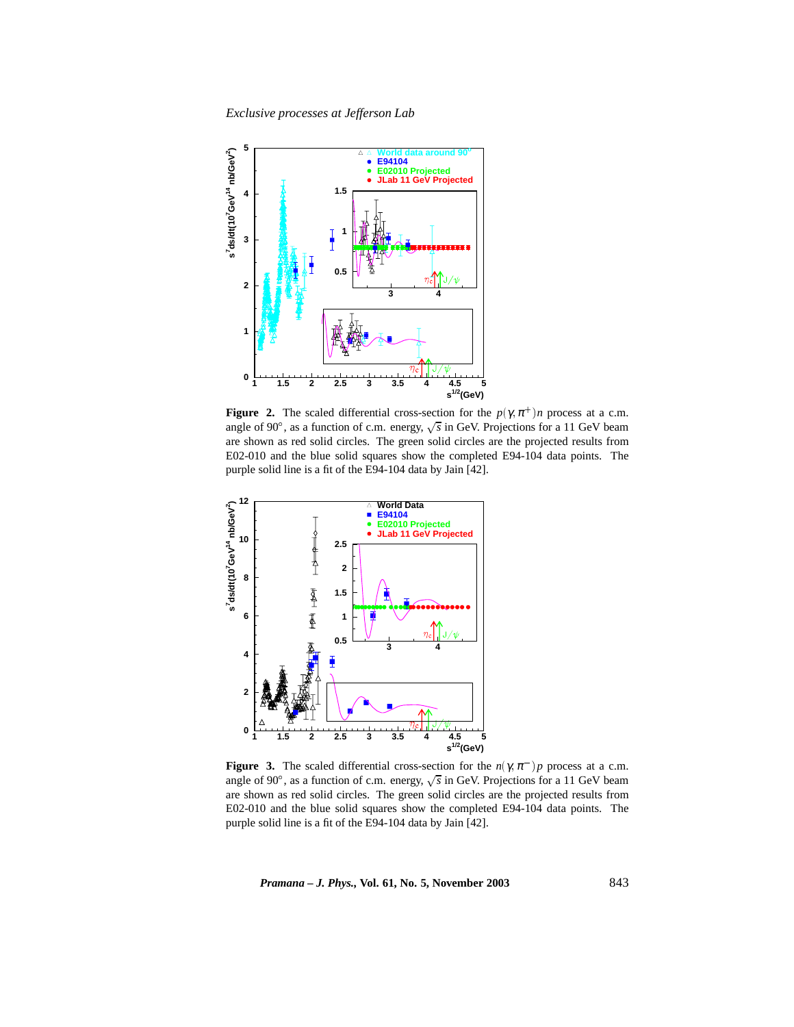*Exclusive processes at Jefferson Lab*



**Figure 2.** The scaled differential cross-section for the  $p(\gamma, \pi^+)$ *n* process at a c.m. angle of 90 $^{\circ}$ , as a function of c.m. energy,  $\sqrt{s}$  in GeV. Projections for a 11 GeV beam are shown as red solid circles. The green solid circles are the projected results from E02-010 and the blue solid squares show the completed E94-104 data points. The purple solid line is a fit of the E94-104 data by Jain [42].



**Figure 3.** The scaled differential cross-section for the  $n(\gamma, \pi^{-})p$  process at a c.m. angle of 90°, as a function of c.m. energy,  $\sqrt{s}$  in GeV. Projections for a 11 GeV beam are shown as red solid circles. The green solid circles are the projected results from E02-010 and the blue solid squares show the completed E94-104 data points. The purple solid line is a fit of the E94-104 data by Jain [42].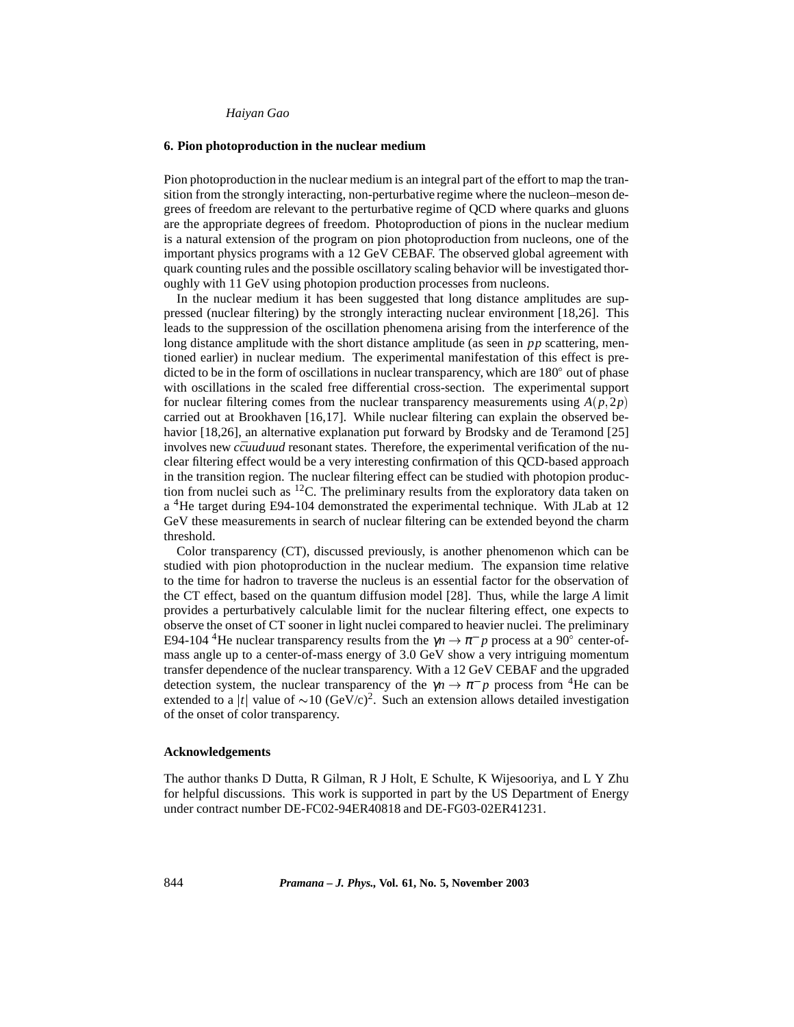#### **6. Pion photoproduction in the nuclear medium**

Pion photoproduction in the nuclear medium is an integral part of the effort to map the transition from the strongly interacting, non-perturbative regime where the nucleon–meson degrees of freedom are relevant to the perturbative regime of QCD where quarks and gluons are the appropriate degrees of freedom. Photoproduction of pions in the nuclear medium is a natural extension of the program on pion photoproduction from nucleons, one of the important physics programs with a 12 GeV CEBAF. The observed global agreement with quark counting rules and the possible oscillatory scaling behavior will be investigated thoroughly with 11 GeV using photopion production processes from nucleons.

In the nuclear medium it has been suggested that long distance amplitudes are suppressed (nuclear filtering) by the strongly interacting nuclear environment [18,26]. This leads to the suppression of the oscillation phenomena arising from the interference of the long distance amplitude with the short distance amplitude (as seen in *pp* scattering, mentioned earlier) in nuclear medium. The experimental manifestation of this effect is predicted to be in the form of oscillations in nuclear transparency, which are  $180^{\circ}$  out of phase with oscillations in the scaled free differential cross-section. The experimental support for nuclear filtering comes from the nuclear transparency measurements using  $A(p, 2p)$ carried out at Brookhaven [16,17]. While nuclear filtering can explain the observed behavior [18,26], an alternative explanation put forward by Brodsky and de Teramond [25] involves new *ccuuduud* resonant states. Therefore, the experimental verification of the nuclear filtering effect would be a very interesting confirmation of this QCD-based approach in the transition region. The nuclear filtering effect can be studied with photopion production from nuclei such as  ${}^{12}C$ . The preliminary results from the exploratory data taken on a 4He target during E94-104 demonstrated the experimental technique. With JLab at 12 GeV these measurements in search of nuclear filtering can be extended beyond the charm threshold.

Color transparency (CT), discussed previously, is another phenomenon which can be studied with pion photoproduction in the nuclear medium. The expansion time relative to the time for hadron to traverse the nucleus is an essential factor for the observation of the CT effect, based on the quantum diffusion model [28]. Thus, while the large *A* limit provides a perturbatively calculable limit for the nuclear filtering effect, one expects to observe the onset of CT sooner in light nuclei compared to heavier nuclei. The preliminary E94-104<sup>4</sup>He nuclear transparency results from the  $\gamma n \to \pi^- p$  process at a 90<sup>°</sup> center-ofmass angle up to a center-of-mass energy of 3.0 GeV show a very intriguing momentum transfer dependence of the nuclear transparency. With a 12 GeV CEBAF and the upgraded detection system, the nuclear transparency of the  $\gamma n \to \pi^- p$  process from <sup>4</sup>He can be extended to a |t| value of  $\sim 10$  (GeV/c)<sup>2</sup>. Such an extension allows detailed investigation of the onset of color transparency.

### **Acknowledgements**

The author thanks D Dutta, R Gilman, R J Holt, E Schulte, K Wijesooriya, and L Y Zhu for helpful discussions. This work is supported in part by the US Department of Energy under contract number DE-FC02-94ER40818 and DE-FG03-02ER41231.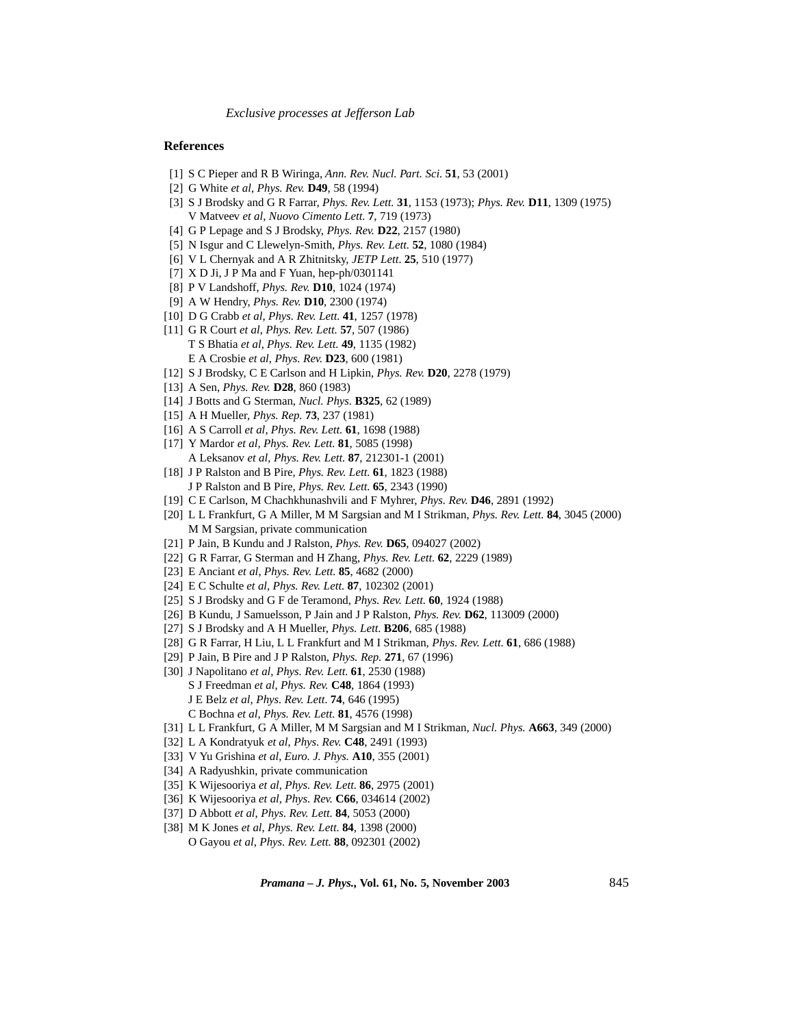## **References**

- [1] S C Pieper and R B Wiringa, *Ann. Rev. Nucl. Part. Sci.* **51**, 53 (2001)
- [2] G White *et al*, *Phys. Rev.* **D49**, 58 (1994)
- [3] S J Brodsky and G R Farrar, *Phys. Rev. Lett.* **31**, 1153 (1973); *Phys. Rev.* **D11**, 1309 (1975) V Matveev *et al*, *Nuovo Cimento Lett.* **7**, 719 (1973)
- [4] G P Lepage and S J Brodsky, *Phys. Rev.* **D22**, 2157 (1980)
- [5] N Isgur and C Llewelyn-Smith, *Phys. Rev. Lett.* **52**, 1080 (1984)
- [6] V L Chernyak and A R Zhitnitsky, *JETP Lett.* **25**, 510 (1977)
- [7] X D Ji, J P Ma and F Yuan, hep-ph/0301141
- [8] P V Landshoff, *Phys. Rev.* **D10**, 1024 (1974)
- [9] A W Hendry, *Phys. Rev.* **D10**, 2300 (1974)
- [10] D G Crabb *et al*, *Phys. Rev. Lett.* **41**, 1257 (1978)
- [11] G R Court *et al*, *Phys. Rev. Lett.* **57**, 507 (1986) T S Bhatia *et al*, *Phys. Rev. Lett.* **49**, 1135 (1982) E A Crosbie *et al*, *Phys. Rev.* **D23**, 600 (1981)
- [12] S J Brodsky, C E Carlson and H Lipkin, *Phys. Rev.* **D20**, 2278 (1979)
- [13] A Sen, *Phys. Rev.* **D28**, 860 (1983)
- [14] J Botts and G Sterman, *Nucl. Phys.* **B325**, 62 (1989)
- [15] A H Mueller, *Phys. Rep.* **73**, 237 (1981)
- [16] A S Carroll *et al*, *Phys. Rev. Lett.* **61**, 1698 (1988)
- [17] Y Mardor *et al*, *Phys. Rev. Lett.* **81**, 5085 (1998) A Leksanov *et al*, *Phys. Rev. Lett.* **87**, 212301-1 (2001)
- [18] J P Ralston and B Pire, *Phys. Rev. Lett.* **61**, 1823 (1988) J P Ralston and B Pire, *Phys. Rev. Lett.* **65**, 2343 (1990)
- [19] C E Carlson, M Chachkhunashvili and F Myhrer, *Phys. Rev.* **D46**, 2891 (1992)
- [20] L L Frankfurt, G A Miller, M M Sargsian and M I Strikman, *Phys. Rev. Lett.* **84**, 3045 (2000) M M Sargsian, private communication
- [21] P Jain, B Kundu and J Ralston, *Phys. Rev.* **D65**, 094027 (2002)
- [22] G R Farrar, G Sterman and H Zhang, *Phys. Rev. Lett.* **62**, 2229 (1989)
- [23] E Anciant *et al*, *Phys. Rev. Lett.* **85**, 4682 (2000)
- [24] E C Schulte *et al*, *Phys. Rev. Lett.* **87**, 102302 (2001)
- [25] S J Brodsky and G F de Teramond, *Phys. Rev. Lett.* **60**, 1924 (1988)
- [26] B Kundu, J Samuelsson, P Jain and J P Ralston, *Phys. Rev.* **D62**, 113009 (2000)
- [27] S J Brodsky and A H Mueller, *Phys. Lett.* **B206**, 685 (1988)
- [28] G R Farrar, H Liu, L L Frankfurt and M I Strikman, *Phys. Rev. Lett.* **61**, 686 (1988)
- [29] P Jain, B Pire and J P Ralston, *Phys. Rep.* **271**, 67 (1996)
- [30] J Napolitano *et al*, *Phys. Rev. Lett.* **61**, 2530 (1988) S J Freedman *et al*, *Phys. Rev.* **C48**, 1864 (1993) J E Belz *et al*, *Phys. Rev. Lett.* **74**, 646 (1995) C Bochna *et al*, *Phys. Rev. Lett.* **81**, 4576 (1998)
- [31] L L Frankfurt, G A Miller, M M Sargsian and M I Strikman, *Nucl. Phys.* **A663**, 349 (2000)
- [32] L A Kondratyuk *et al*, *Phys. Rev.* **C48**, 2491 (1993)
- [33] V Yu Grishina *et al*, *Euro. J. Phys.* **A10**, 355 (2001)
- [34] A Radyushkin, private communication
- [35] K Wijesooriya *et al*, *Phys. Rev. Lett.* **86**, 2975 (2001)
- [36] K Wijesooriya *et al*, *Phys. Rev.* **C66**, 034614 (2002)
- [37] D Abbott *et al*, *Phys. Rev. Lett.* **84**, 5053 (2000)
- [38] M K Jones *et al*, *Phys. Rev. Lett.* **84**, 1398 (2000) O Gayou *et al*, *Phys. Rev. Lett.* **88**, 092301 (2002)